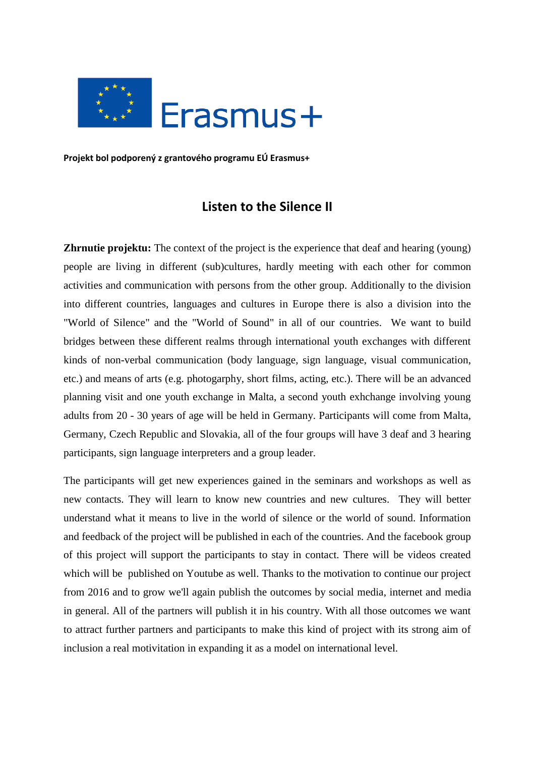

**Projekt bol podporený z grantového programu EÚ Erasmus+**

# **Listen to the Silence II**

**Zhrnutie projektu:** The context of the project is the experience that deaf and hearing (young) people are living in different (sub)cultures, hardly meeting with each other for common activities and communication with persons from the other group. Additionally to the division into different countries, languages and cultures in Europe there is also a division into the "World of Silence" and the "World of Sound" in all of our countries. We want to build bridges between these different realms through international youth exchanges with different kinds of non-verbal communication (body language, sign language, visual communication, etc.) and means of arts (e.g. photogarphy, short films, acting, etc.). There will be an advanced planning visit and one youth exchange in Malta, a second youth exhchange involving young adults from 20 - 30 years of age will be held in Germany. Participants will come from Malta, Germany, Czech Republic and Slovakia, all of the four groups will have 3 deaf and 3 hearing participants, sign language interpreters and a group leader.

The participants will get new experiences gained in the seminars and workshops as well as new contacts. They will learn to know new countries and new cultures. They will better understand what it means to live in the world of silence or the world of sound. Information and feedback of the project will be published in each of the countries. And the facebook group of this project will support the participants to stay in contact. There will be videos created which will be published on Youtube as well. Thanks to the motivation to continue our project from 2016 and to grow we'll again publish the outcomes by social media, internet and media in general. All of the partners will publish it in his country. With all those outcomes we want to attract further partners and participants to make this kind of project with its strong aim of inclusion a real motivitation in expanding it as a model on international level.